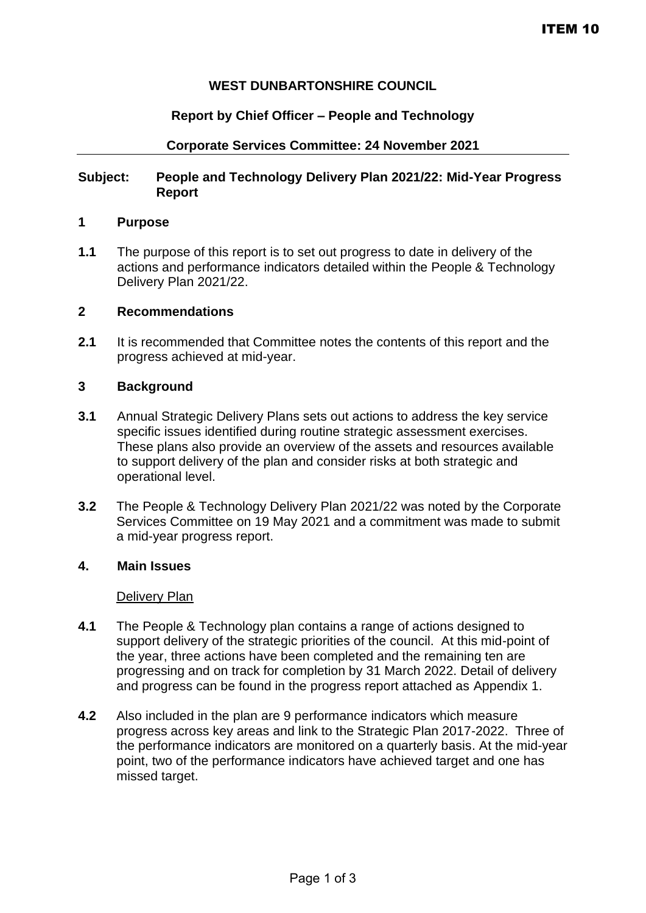# **WEST DUNBARTONSHIRE COUNCIL**

### **Report by Chief Officer – People and Technology**

### **Corporate Services Committee: 24 November 2021**

# **Subject: People and Technology Delivery Plan 2021/22: Mid-Year Progress Report**

# **1 Purpose**

**1.1** The purpose of this report is to set out progress to date in delivery of the actions and performance indicators detailed within the People & Technology Delivery Plan 2021/22.

#### **2 Recommendations**

**2.1** It is recommended that Committee notes the contents of this report and the progress achieved at mid-year.

### **3 Background**

- **3.1** Annual Strategic Delivery Plans sets out actions to address the key service specific issues identified during routine strategic assessment exercises. These plans also provide an overview of the assets and resources available to support delivery of the plan and consider risks at both strategic and operational level.
- **3.2** The People & Technology Delivery Plan 2021/22 was noted by the Corporate Services Committee on 19 May 2021 and a commitment was made to submit a mid-year progress report.

# **4. Main Issues**

#### Delivery Plan

- **4.1** The People & Technology plan contains a range of actions designed to support delivery of the strategic priorities of the council. At this mid-point of the year, three actions have been completed and the remaining ten are progressing and on track for completion by 31 March 2022. Detail of delivery and progress can be found in the progress report attached as Appendix 1.
- **4.2** Also included in the plan are 9 performance indicators which measure progress across key areas and link to the Strategic Plan 2017-2022. Three of the performance indicators are monitored on a quarterly basis. At the mid-year point, two of the performance indicators have achieved target and one has missed target.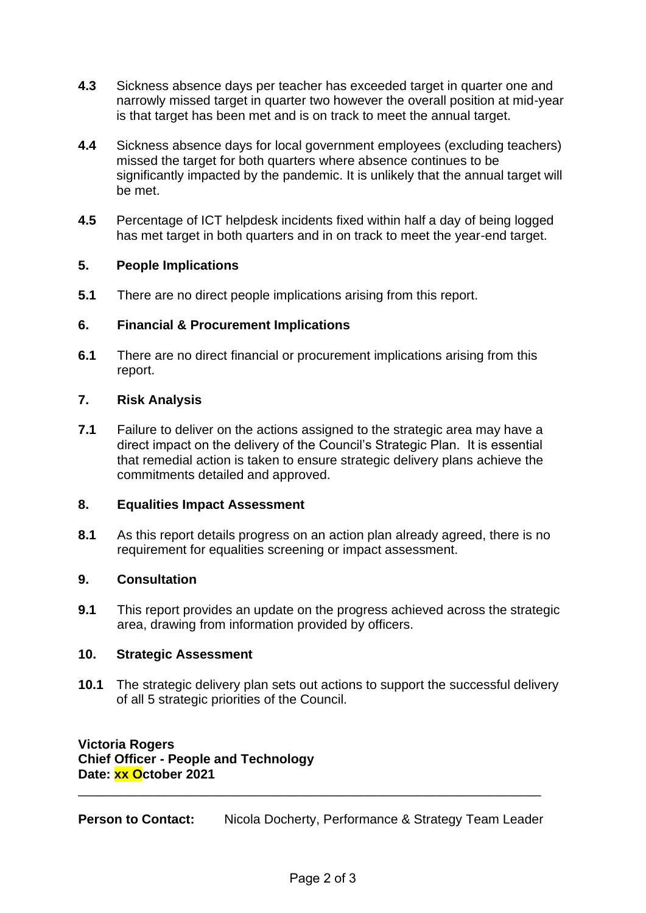- **4.3** Sickness absence days per teacher has exceeded target in quarter one and narrowly missed target in quarter two however the overall position at mid-year is that target has been met and is on track to meet the annual target.
- **4.4** Sickness absence days for local government employees (excluding teachers) missed the target for both quarters where absence continues to be significantly impacted by the pandemic. It is unlikely that the annual target will be met.
- **4.5** Percentage of ICT helpdesk incidents fixed within half a day of being logged has met target in both quarters and in on track to meet the year-end target.

# **5. People Implications**

**5.1** There are no direct people implications arising from this report.

# **6. Financial & Procurement Implications**

**6.1** There are no direct financial or procurement implications arising from this report.

# **7. Risk Analysis**

**7.1** Failure to deliver on the actions assigned to the strategic area may have a direct impact on the delivery of the Council's Strategic Plan. It is essential that remedial action is taken to ensure strategic delivery plans achieve the commitments detailed and approved.

# **8. Equalities Impact Assessment**

**8.1** As this report details progress on an action plan already agreed, there is no requirement for equalities screening or impact assessment.

# **9. Consultation**

**9.1** This report provides an update on the progress achieved across the strategic area, drawing from information provided by officers.

# **10. Strategic Assessment**

**10.1** The strategic delivery plan sets out actions to support the successful delivery of all 5 strategic priorities of the Council.

**Victoria Rogers Chief Officer - People and Technology Date: xx October 2021**

**Person to Contact:** Nicola Docherty, Performance & Strategy Team Leader

\_\_\_\_\_\_\_\_\_\_\_\_\_\_\_\_\_\_\_\_\_\_\_\_\_\_\_\_\_\_\_\_\_\_\_\_\_\_\_\_\_\_\_\_\_\_\_\_\_\_\_\_\_\_\_\_\_\_\_\_\_\_\_\_